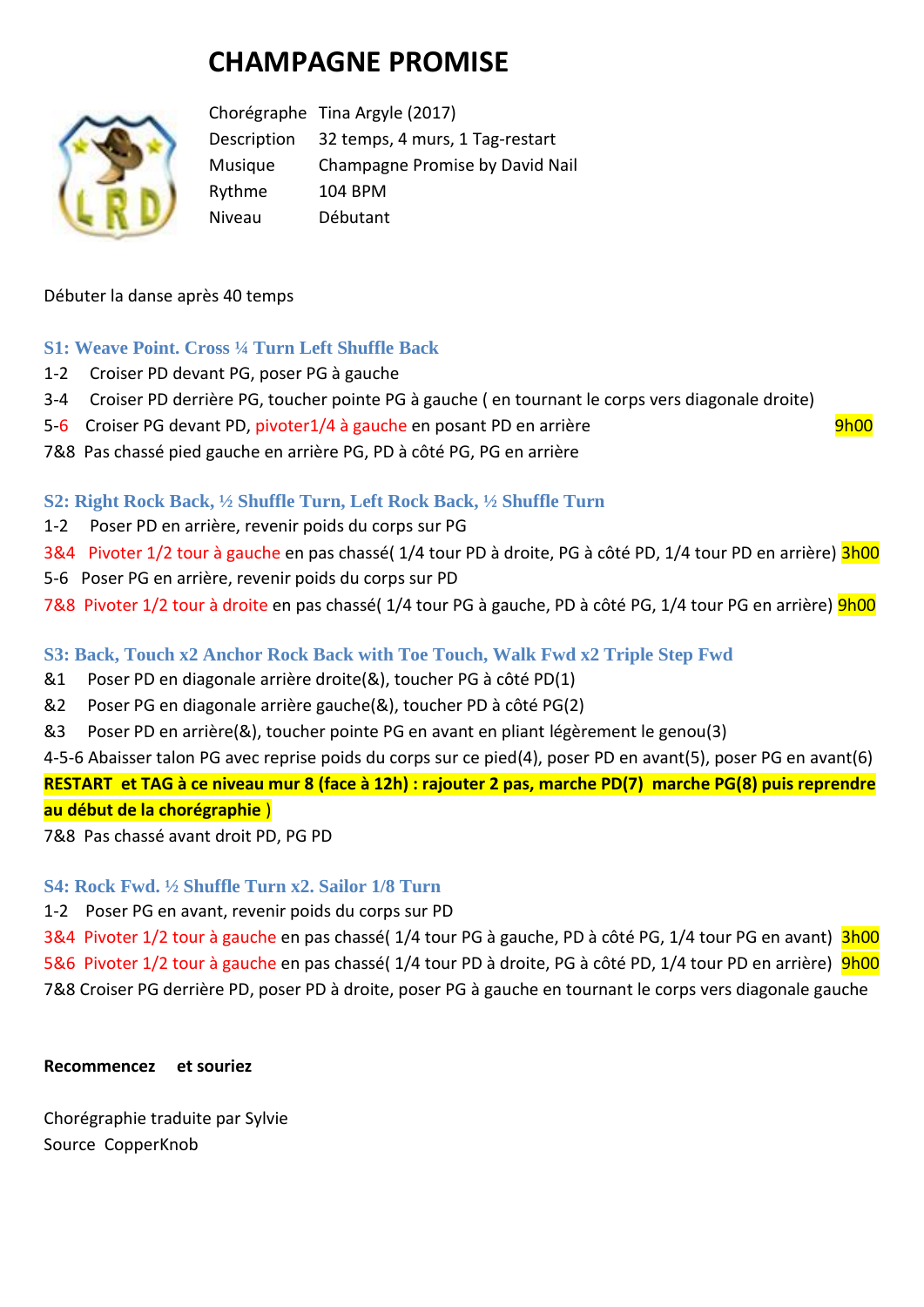# **CHAMPAGNE PROMISE**



Chorégraphe Tina Argyle (2017) Description 32 temps, 4 murs, 1 Tag-restart Musique Champagne Promise by David Nail Rythme 104 BPM Niveau Débutant

#### Débuter la danse après 40 temps

#### **S1: Weave Point. Cross ¼ Turn Left Shuffle Back**

- 1-2 Croiser PD devant PG, poser PG à gauche
- 3-4 Croiser PD derrière PG, toucher pointe PG à gauche ( en tournant le corps vers diagonale droite)
- 5-6 Croiser PG devant PD, pivoter1/4 à gauche en posant PD en arrière en mondiale en posant PD en arrière quatr
- 7&8 Pas chassé pied gauche en arrière PG, PD à côté PG, PG en arrière

## **S2: Right Rock Back, ½ Shuffle Turn, Left Rock Back, ½ Shuffle Turn**

- 1-2 Poser PD en arrière, revenir poids du corps sur PG
- 3&4 Pivoter 1/2 tour à gauche en pas chassé( 1/4 tour PD à droite, PG à côté PD, 1/4 tour PD en arrière) 3h00
- 5-6 Poser PG en arrière, revenir poids du corps sur PD
- 7&8 Pivoter 1/2 tour à droite en pas chassé( 1/4 tour PG à gauche, PD à côté PG, 1/4 tour PG en arrière) 9h00

# **S3: Back, Touch x2 Anchor Rock Back with Toe Touch, Walk Fwd x2 Triple Step Fwd**

- &1 Poser PD en diagonale arrière droite(&), toucher PG à côté PD(1)
- &2 Poser PG en diagonale arrière gauche(&), toucher PD à côté PG(2)
- &3 Poser PD en arrière(&), toucher pointe PG en avant en pliant légèrement le genou(3)

4-5-6 Abaisser talon PG avec reprise poids du corps sur ce pied(4), poser PD en avant(5), poser PG en avant(6) **RESTART et TAG à ce niveau mur 8 (face à 12h) : rajouter 2 pas, marche PD(7) marche PG(8) puis reprendre au début de la chorégraphie** )

7&8 Pas chassé avant droit PD, PG PD

#### **S4: Rock Fwd. ½ Shuffle Turn x2. Sailor 1/8 Turn**

1-2 Poser PG en avant, revenir poids du corps sur PD

3&4 Pivoter 1/2 tour à gauche en pas chassé (1/4 tour PG à gauche, PD à côté PG, 1/4 tour PG en avant) 3h00 5&6 Pivoter 1/2 tour à gauche en pas chassé( 1/4 tour PD à droite, PG à côté PD, 1/4 tour PD en arrière) 9h00 7&8 Croiser PG derrière PD, poser PD à droite, poser PG à gauche en tournant le corps vers diagonale gauche

#### **Recommencez et souriez**

Chorégraphie traduite par Sylvie Source CopperKnob